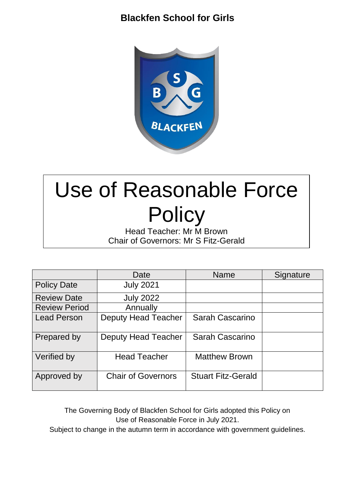## **Blackfen School for Girls**



# Use of Reasonable Force **Policy**

Head Teacher: Mr M Brown Chair of Governors: Mr S Fitz-Gerald

|                      | Date                       | <b>Name</b>               | Signature |
|----------------------|----------------------------|---------------------------|-----------|
| <b>Policy Date</b>   | <b>July 2021</b>           |                           |           |
| <b>Review Date</b>   | <b>July 2022</b>           |                           |           |
| <b>Review Period</b> | Annually                   |                           |           |
| <b>Lead Person</b>   | <b>Deputy Head Teacher</b> | Sarah Cascarino           |           |
| Prepared by          | <b>Deputy Head Teacher</b> | Sarah Cascarino           |           |
| Verified by          | <b>Head Teacher</b>        | <b>Matthew Brown</b>      |           |
| Approved by          | <b>Chair of Governors</b>  | <b>Stuart Fitz-Gerald</b> |           |

The Governing Body of Blackfen School for Girls adopted this Policy on Use of Reasonable Force in July 2021.

Subject to change in the autumn term in accordance with government guidelines.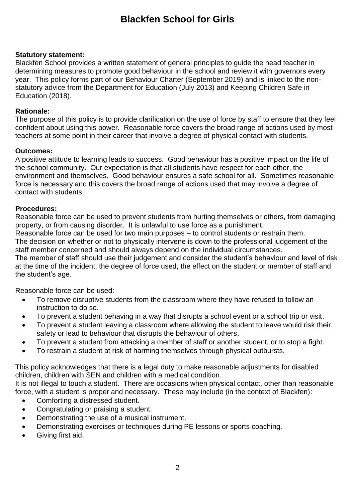## **Blackfen School for Girls**

#### **Statutory statement:**

Blackfen School provides a written statement of general principles to guide the head teacher in determining measures to promote good behaviour in the school and review it with governors every year. This policy forms part of our Behaviour Charter (September 2019) and is linked to the nonstatutory advice from the Department for Education (July 2013) and Keeping Children Safe in Education (2018).

#### **Rationale:**

The purpose of this policy is to provide clarification on the use of force by staff to ensure that they feel confident about using this power. Reasonable force covers the broad range of actions used by most teachers at some point in their career that involve a degree of physical contact with students.

#### **Outcomes:**

A positive attitude to learning leads to success. Good behaviour has a positive impact on the life of the school community. Our expectation is that all students have respect for each other, the environment and themselves. Good behaviour ensures a safe school for all. Sometimes reasonable force is necessary and this covers the broad range of actions used that may involve a degree of contact with students.

#### **Procedures:**

Reasonable force can be used to prevent students from hurting themselves or others, from damaging property, or from causing disorder. It is unlawful to use force as a punishment.

Reasonable force can be used for two main purposes – to control students or restrain them.

The decision on whether or not to physically intervene is down to the professional judgement of the staff member concerned and should always depend on the individual circumstances.

The member of staff should use their judgement and consider the student's behaviour and level of risk at the time of the incident, the degree of force used, the effect on the student or member of staff and the student's age.

Reasonable force can be used:

- To remove disruptive students from the classroom where they have refused to follow an instruction to do so.
- To prevent a student behaving in a way that disrupts a school event or a school trip or visit.
- To prevent a student leaving a classroom where allowing the student to leave would risk their safety or lead to behaviour that disrupts the behaviour of others.
- To prevent a student from attacking a member of staff or another student, or to stop a fight.
- To restrain a student at risk of harming themselves through physical outbursts.

This policy acknowledges that there is a legal duty to make reasonable adjustments for disabled children, children with SEN and children with a medical condition.

It is not illegal to touch a student. There are occasions when physical contact, other than reasonable force, with a student is proper and necessary. These may include (in the context of Blackfen):

- Comforting a distressed student.
- Congratulating or praising a student.
- Demonstrating the use of a musical instrument.
- Demonstrating exercises or techniques during PE lessons or sports coaching.
- Giving first aid.